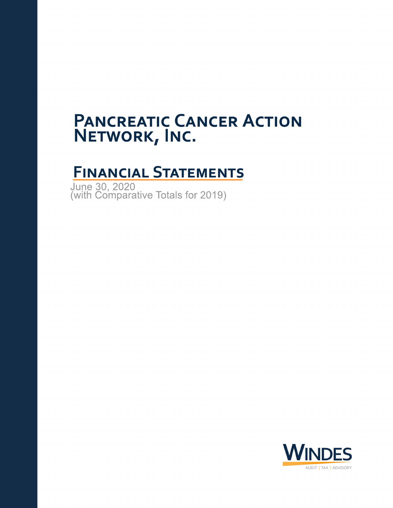# **FINANCIAL STATEMENTS**

June 30, 2020 (with Comparative Totals for 2019)

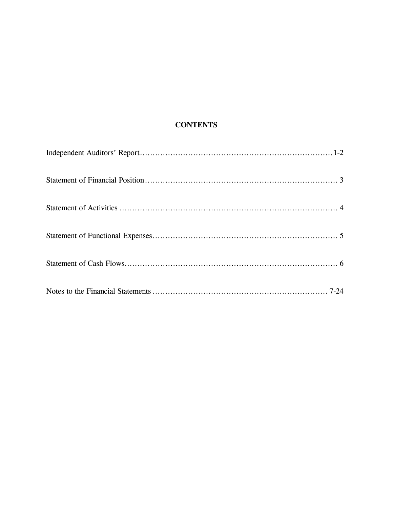# **CONTENTS**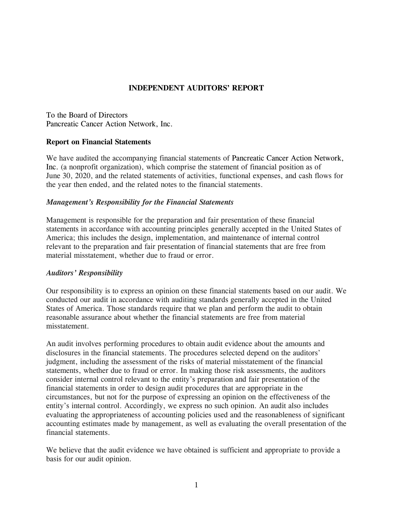# **INDEPENDENT AUDITORS' REPORT**

To the Board of Directors Pancreatic Cancer Action Network, Inc.

#### **Report on Financial Statements**

We have audited the accompanying financial statements of Pancreatic Cancer Action Network, Inc. (a nonprofit organization), which comprise the statement of financial position as of June 30, 2020, and the related statements of activities, functional expenses, and cash flows for the year then ended, and the related notes to the financial statements.

#### *Management's Responsibility for the Financial Statements*

Management is responsible for the preparation and fair presentation of these financial statements in accordance with accounting principles generally accepted in the United States of America; this includes the design, implementation, and maintenance of internal control relevant to the preparation and fair presentation of financial statements that are free from material misstatement, whether due to fraud or error.

#### *Auditors' Responsibility*

Our responsibility is to express an opinion on these financial statements based on our audit. We conducted our audit in accordance with auditing standards generally accepted in the United States of America. Those standards require that we plan and perform the audit to obtain reasonable assurance about whether the financial statements are free from material misstatement.

An audit involves performing procedures to obtain audit evidence about the amounts and disclosures in the financial statements. The procedures selected depend on the auditors' judgment, including the assessment of the risks of material misstatement of the financial statements, whether due to fraud or error. In making those risk assessments, the auditors consider internal control relevant to the entity's preparation and fair presentation of the financial statements in order to design audit procedures that are appropriate in the circumstances, but not for the purpose of expressing an opinion on the effectiveness of the entity's internal control. Accordingly, we express no such opinion. An audit also includes evaluating the appropriateness of accounting policies used and the reasonableness of significant accounting estimates made by management, as well as evaluating the overall presentation of the financial statements.

We believe that the audit evidence we have obtained is sufficient and appropriate to provide a basis for our audit opinion.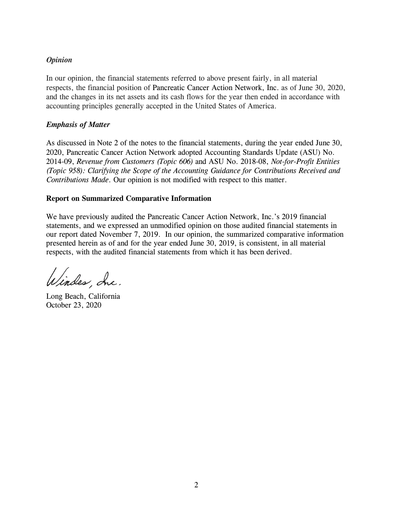## *Opinion*

In our opinion, the financial statements referred to above present fairly, in all material respects, the financial position of Pancreatic Cancer Action Network, Inc. as of June 30, 2020, and the changes in its net assets and its cash flows for the year then ended in accordance with accounting principles generally accepted in the United States of America.

## *Emphasis of Matter*

As discussed in Note 2 of the notes to the financial statements, during the year ended June 30, 2020, Pancreatic Cancer Action Network adopted Accounting Standards Update (ASU) No. 2014-09, *Revenue from Customers (Topic 606)* and ASU No. 2018-08, *Not-for-Profit Entities (Topic 958): Clarifying the Scope of the Accounting Guidance for Contributions Received and Contributions Made*. Our opinion is not modified with respect to this matter.

#### **Report on Summarized Comparative Information**

We have previously audited the Pancreatic Cancer Action Network, Inc.'s 2019 financial statements, and we expressed an unmodified opinion on those audited financial statements in our report dated November 7, 2019. In our opinion, the summarized comparative information presented herein as of and for the year ended June 30, 2019, is consistent, in all material respects, with the audited financial statements from which it has been derived.

Windes, Inc.

Long Beach, California October 23, 2020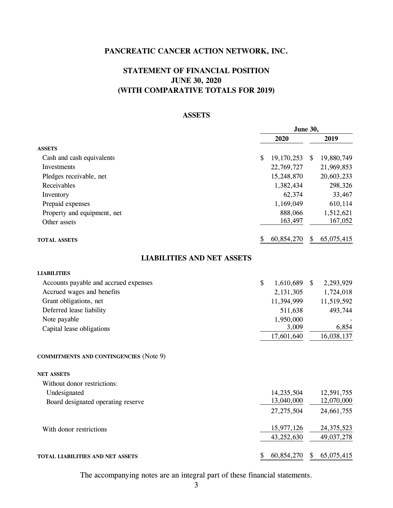# **STATEMENT OF FINANCIAL POSITION JUNE 30, 2020 (WITH COMPARATIVE TOTALS FOR 2019)**

## **ASSETS**

|                                               |    | <b>June 30,</b> |    |              |
|-----------------------------------------------|----|-----------------|----|--------------|
|                                               |    | 2020            |    | 2019         |
| <b>ASSETS</b>                                 |    |                 |    |              |
| Cash and cash equivalents                     | \$ | 19,170,253      | \$ | 19,880,749   |
| Investments                                   |    | 22,769,727      |    | 21,969,853   |
| Pledges receivable, net                       |    | 15,248,870      |    | 20,603,233   |
| Receivables                                   |    | 1,382,434       |    | 298,326      |
| Inventory                                     |    | 62,374          |    | 33,467       |
| Prepaid expenses                              |    | 1,169,049       |    | 610,114      |
| Property and equipment, net                   |    | 888,066         |    | 1,512,621    |
| Other assets                                  |    | 163,497         |    | 167,052      |
| <b>TOTAL ASSETS</b>                           | \$ | 60,854,270      | \$ | 65,075,415   |
| <b>LIABILITIES AND NET ASSETS</b>             |    |                 |    |              |
| <b>LIABILITIES</b>                            |    |                 |    |              |
| Accounts payable and accrued expenses         | \$ | 1,610,689       | \$ | 2,293,929    |
| Accrued wages and benefits                    |    | 2,131,305       |    | 1,724,018    |
| Grant obligations, net                        |    | 11,394,999      |    | 11,519,592   |
| Deferred lease liability                      |    | 511,638         |    | 493,744      |
| Note payable                                  |    | 1,950,000       |    |              |
| Capital lease obligations                     |    | 3,009           |    | 6,854        |
|                                               |    | 17,601,640      |    | 16,038,137   |
| <b>COMMITMENTS AND CONTINGENCIES (Note 9)</b> |    |                 |    |              |
| <b>NET ASSETS</b>                             |    |                 |    |              |
| Without donor restrictions:                   |    |                 |    |              |
| Undesignated                                  |    | 14,235,504      |    | 12,591,755   |
| Board designated operating reserve            |    | 13,040,000      |    | 12,070,000   |
|                                               |    | 27, 275, 504    |    | 24,661,755   |
| With donor restrictions                       |    | 15,977,126      |    | 24, 375, 523 |
|                                               |    | 43,252,630      |    | 49,037,278   |
| TOTAL LIABILITIES AND NET ASSETS              | \$ | 60,854,270      | \$ | 65,075,415   |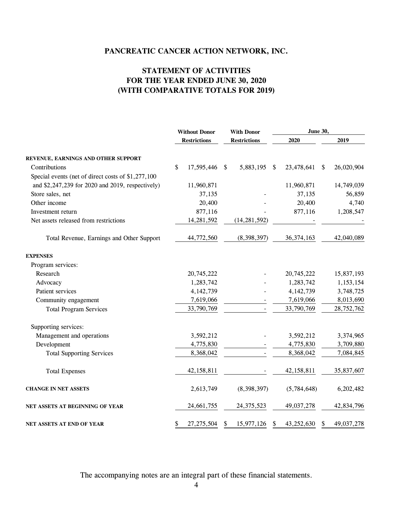# **STATEMENT OF ACTIVITIES FOR THE YEAR ENDED JUNE 30, 2020 (WITH COMPARATIVE TOTALS FOR 2019)**

|                                                     | <b>Without Donor</b> |                                            |               | <b>With Donor</b> |      | <b>June 30,</b> |                  |  |  |
|-----------------------------------------------------|----------------------|--------------------------------------------|---------------|-------------------|------|-----------------|------------------|--|--|
|                                                     |                      | <b>Restrictions</b><br><b>Restrictions</b> |               |                   | 2020 | 2019            |                  |  |  |
| REVENUE, EARNINGS AND OTHER SUPPORT                 |                      |                                            |               |                   |      |                 |                  |  |  |
| Contributions                                       | \$                   | 17,595,446                                 | - \$          | 5,883,195         | S.   | 23,478,641      | \$<br>26,020,904 |  |  |
| Special events (net of direct costs of \$1,277,100) |                      |                                            |               |                   |      |                 |                  |  |  |
| and \$2,247,239 for 2020 and 2019, respectively)    |                      | 11,960,871                                 |               |                   |      | 11,960,871      | 14,749,039       |  |  |
| Store sales, net                                    |                      | 37,135                                     |               |                   |      | 37,135          | 56,859           |  |  |
| Other income                                        |                      | 20,400                                     |               |                   |      | 20,400          | 4,740            |  |  |
| Investment return                                   |                      | 877,116                                    |               |                   |      | 877,116         | 1,208,547        |  |  |
| Net assets released from restrictions               |                      | 14,281,592                                 |               | (14, 281, 592)    |      |                 |                  |  |  |
| Total Revenue, Earnings and Other Support           |                      | 44,772,560                                 |               | (8,398,397)       |      | 36, 374, 163    | 42,040,089       |  |  |
| <b>EXPENSES</b>                                     |                      |                                            |               |                   |      |                 |                  |  |  |
| Program services:                                   |                      |                                            |               |                   |      |                 |                  |  |  |
| Research                                            |                      | 20,745,222                                 |               |                   |      | 20,745,222      | 15,837,193       |  |  |
| Advocacy                                            |                      | 1,283,742                                  |               |                   |      | 1,283,742       | 1,153,154        |  |  |
| Patient services                                    |                      | 4, 142, 739                                |               |                   |      | 4,142,739       | 3,748,725        |  |  |
| Community engagement                                |                      | 7,619,066                                  |               |                   |      | 7,619,066       | 8,013,690        |  |  |
| <b>Total Program Services</b>                       |                      | 33,790,769                                 |               |                   |      | 33,790,769      | 28,752,762       |  |  |
| Supporting services:                                |                      |                                            |               |                   |      |                 |                  |  |  |
| Management and operations                           |                      | 3,592,212                                  |               |                   |      | 3,592,212       | 3,374,965        |  |  |
| Development                                         |                      | 4,775,830                                  |               |                   |      | 4,775,830       | 3,709,880        |  |  |
| <b>Total Supporting Services</b>                    |                      | 8,368,042                                  |               |                   |      | 8,368,042       | 7,084,845        |  |  |
| <b>Total Expenses</b>                               |                      | 42,158,811                                 |               |                   |      | 42,158,811      | 35,837,607       |  |  |
| <b>CHANGE IN NET ASSETS</b>                         |                      | 2,613,749                                  |               | (8,398,397)       |      | (5,784,648)     | 6,202,482        |  |  |
| NET ASSETS AT BEGINNING OF YEAR                     |                      | 24, 661, 755                               |               | 24, 375, 523      |      | 49,037,278      | 42,834,796       |  |  |
| NET ASSETS AT END OF YEAR                           | \$                   | 27, 275, 504                               | <sup>\$</sup> | 15,977,126        | \$   | 43,252,630      | \$<br>49,037,278 |  |  |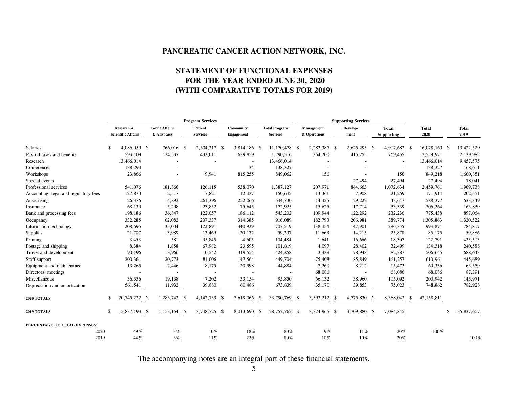# **STATEMENT OF FUNCTIONAL EXPENSES FOR THE YEAR ENDED JUNE 30, 2020 (WITH COMPARATIVE TOTALS FOR 2019)**

|                                       |      | <b>Program Services</b>                 |                             |            |    |                            |      |                                | <b>Supporting Services</b> |                                         |    |                            |      |                  |      |                                   |    |                      |    |                      |
|---------------------------------------|------|-----------------------------------------|-----------------------------|------------|----|----------------------------|------|--------------------------------|----------------------------|-----------------------------------------|----|----------------------------|------|------------------|------|-----------------------------------|----|----------------------|----|----------------------|
|                                       |      | Research &<br><b>Scientific Affairs</b> | Gov't Affairs<br>& Advocacy |            |    | Patient<br><b>Services</b> |      | Community<br><b>Engagement</b> |                            | <b>Total Program</b><br><b>Services</b> |    | Management<br>& Operations |      | Develop-<br>ment |      | <b>Total</b><br><b>Supporting</b> |    | <b>Total</b><br>2020 |    | <b>Total</b><br>2019 |
| <b>Salaries</b>                       |      | 4,086,059 \$                            |                             | 766,016 \$ |    | 2,504,217 \$               |      | 3,814,186 \$                   |                            | 11,170,478 \$                           |    | 2,282,387 \$               |      | 2,625,295 \$     |      | 4,907,682 \$                      |    | 16,078,160 \$        |    | 13,422,529           |
| Payroll taxes and benefits            |      | 593,109                                 |                             | 124,537    |    | 433,011                    |      | 639,859                        |                            | 1,790,516                               |    | 354,200                    |      | 415,255          |      | 769,455                           |    | 2,559,971            |    | 2,139,982            |
| Research                              |      | 13,466,014                              |                             |            |    |                            |      | $\overline{\phantom{a}}$       |                            | 13,466,014                              |    |                            |      |                  |      | $\overline{a}$                    |    | 13,466,014           |    | 9,457,575            |
| Conferences                           |      | 138,293                                 |                             |            |    |                            |      | 34                             |                            | 138,327                                 |    |                            |      |                  |      |                                   |    | 138,327              |    | 168,601              |
| Workshops                             |      | 23,866                                  |                             |            |    | 9,941                      |      | 815,255                        |                            | 849,062                                 |    | 156                        |      |                  |      | 156                               |    | 849,218              |    | 1,660,851            |
| Special events                        |      |                                         |                             |            |    |                            |      |                                |                            |                                         |    |                            |      | 27,494           |      | 27,494                            |    | 27,494               |    | 78,041               |
| Professional services                 |      | 541,076                                 |                             | 181,866    |    | 126,115                    |      | 538,070                        |                            | 1,387,127                               |    | 207,971                    |      | 864,663          |      | 1,072,634                         |    | 2,459,761            |    | 1,969,738            |
| Accounting, legal and regulatory fees |      | 127,870                                 |                             | 2,517      |    | 7,821                      |      | 12,437                         |                            | 150,645                                 |    | 13,361                     |      | 7,908            |      | 21,269                            |    | 171,914              |    | 202,551              |
| Advertising                           |      | 26,376                                  |                             | 4,892      |    | 261,396                    |      | 252,066                        |                            | 544,730                                 |    | 14,425                     |      | 29,222           |      | 43,647                            |    | 588,377              |    | 633,349              |
| Insurance                             |      | 68,130                                  |                             | 5,298      |    | 23,852                     |      | 75,645                         |                            | 172,925                                 |    | 15,625                     |      | 17,714           |      | 33,339                            |    | 206,264              |    | 163,839              |
| Bank and processing fees              |      | 198,186                                 |                             | 36,847     |    | 122,057                    |      | 186,112                        |                            | 543,202                                 |    | 109,944                    |      | 122,292          |      | 232,236                           |    | 775,438              |    | 897,064              |
| Occupancy                             |      | 332,285                                 |                             | 62,082     |    | 207,337                    |      | 314,385                        |                            | 916,089                                 |    | 182,793                    |      | 206,981          |      | 389,774                           |    | 1,305,863            |    | 1,320,522            |
| Information technology                |      | 208,695                                 |                             | 35,004     |    | 122,891                    |      | 340,929                        |                            | 707,519                                 |    | 138,454                    |      | 147,901          |      | 286,355                           |    | 993,874              |    | 784,807              |
| Supplies                              |      | 21,707                                  |                             | 3,989      |    | 13,469                     |      | 20,132                         |                            | 59,297                                  |    | 11,663                     |      | 14,215           |      | 25,878                            |    | 85,175               |    | 59,886               |
| Printing                              |      | 3,453                                   |                             | 581        |    | 95,845                     |      | 4,605                          |                            | 104,484                                 |    | 1,641                      |      | 16,666           |      | 18,307                            |    | 122,791              |    | 423,503              |
| Postage and shipping                  |      | 8,384                                   |                             | 1,858      |    | 67,982                     |      | 23,595                         |                            | 101,819                                 |    | 4,097                      |      | 28,402           |      | 32,499                            |    | 134,318              |    | 240,588              |
| Travel and development                |      | 90,196                                  |                             | 3,966      |    | 10,542                     |      | 319,554                        |                            | 424,258                                 |    | 3,439                      |      | 78,948           |      | 82,387                            |    | 506,645              |    | 688,643              |
| Staff support                         |      | 200,361                                 |                             | 20,773     |    | 81,006                     |      | 147,564                        |                            | 449,704                                 |    | 75,408                     |      | 85,849           |      | 161,257                           |    | 610,961              |    | 445,689              |
| Equipment and maintenance             |      | 13,265                                  |                             | 2,446      |    | 8,175                      |      | 20,998                         |                            | 44,884                                  |    | 7,260                      |      | 8,212            |      | 15,472                            |    | 60,356               |    | 63,559               |
| Directors' meetings                   |      |                                         |                             |            |    |                            |      |                                |                            |                                         |    | 68,086                     |      |                  |      | 68,086                            |    | 68,086               |    | 87,391               |
| Miscellaneous                         |      | 36,356                                  |                             | 19,138     |    | 7,202                      |      | 33,154                         |                            | 95,850                                  |    | 66,132                     |      | 38,960           |      | 105,092                           |    | 200,942              |    | 145,971              |
| Depreciation and amortization         |      | 561,541                                 |                             | 11,932     |    | 39,880                     |      | 60,486                         |                            | 673,839                                 |    | 35,170                     |      | 39,853           |      | 75,023                            |    | 748,862              |    | 782,928              |
| 2020 TOTALS                           |      | 20,745,222                              | -S                          | 1,283,742  | -S | 4, 142, 739                | -S   | 7,619,066                      | -S                         | 33,790,769                              | S  | 3,592,212                  | - \$ | 4,775,830        | - \$ | 8,368,042                         | \$ | 42,158,811           |    |                      |
| 2019 TOTALS                           |      | 15,837,193                              | -S                          | 1,153,154  | -S | 3,748,725                  | - \$ | 8,013,690                      | -S                         | 28,752,762                              | -S | 3,374,965                  | -8   | 3,709,880        | -8   | 7,084,845                         |    |                      | \$ | 35,837,607           |
| PERCENTAGE OF TOTAL EXPENSES:         |      |                                         |                             |            |    |                            |      |                                |                            |                                         |    |                            |      |                  |      |                                   |    |                      |    |                      |
|                                       | 2020 | 49%                                     |                             | 3%         |    | 10%                        |      | 18%                            |                            | 80%                                     |    | 9%                         |      | 11%              |      | 20%                               |    | 100%                 |    |                      |
|                                       | 2019 | 44%                                     |                             | $3\%$      |    | 11%                        |      | 22%                            |                            | 80%                                     |    | 10%                        |      | 10%              |      | 20%                               |    |                      |    | 100%                 |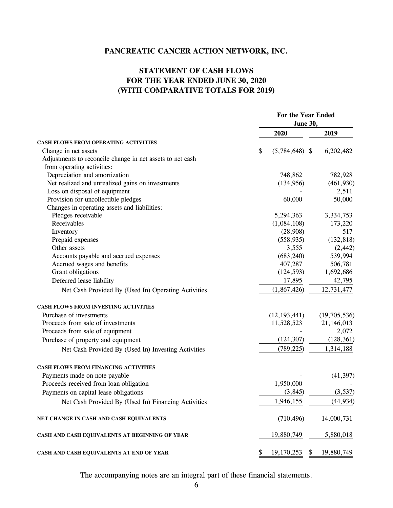# **STATEMENT OF CASH FLOWS FOR THE YEAR ENDED JUNE 30, 2020 (WITH COMPARATIVE TOTALS FOR 2019)**

|                                                           | For the Year Ended<br><b>June 30,</b> |                  |  |  |  |
|-----------------------------------------------------------|---------------------------------------|------------------|--|--|--|
|                                                           | 2020                                  | 2019             |  |  |  |
| <b>CASH FLOWS FROM OPERATING ACTIVITIES</b>               |                                       |                  |  |  |  |
| Change in net assets                                      | \$<br>$(5,784,648)$ \$                | 6,202,482        |  |  |  |
| Adjustments to reconcile change in net assets to net cash |                                       |                  |  |  |  |
| from operating activities:                                |                                       |                  |  |  |  |
| Depreciation and amortization                             | 748,862                               | 782,928          |  |  |  |
| Net realized and unrealized gains on investments          | (134, 956)                            | (461, 930)       |  |  |  |
| Loss on disposal of equipment                             |                                       | 2,511            |  |  |  |
| Provision for uncollectible pledges                       | 60,000                                | 50,000           |  |  |  |
| Changes in operating assets and liabilities:              |                                       |                  |  |  |  |
| Pledges receivable                                        | 5,294,363                             | 3,334,753        |  |  |  |
| Receivables                                               | (1,084,108)                           | 173,220          |  |  |  |
| Inventory                                                 | (28,908)                              | 517              |  |  |  |
| Prepaid expenses                                          | (558, 935)                            | (132, 818)       |  |  |  |
| Other assets                                              | 3,555                                 | (2, 442)         |  |  |  |
| Accounts payable and accrued expenses                     | (683, 240)                            | 539,994          |  |  |  |
| Accrued wages and benefits                                | 407,287                               | 506,781          |  |  |  |
| Grant obligations                                         | (124, 593)                            | 1,692,686        |  |  |  |
| Deferred lease liability                                  | 17,895                                | 42,795           |  |  |  |
| Net Cash Provided By (Used In) Operating Activities       | (1,867,426)                           | 12,731,477       |  |  |  |
| CASH FLOWS FROM INVESTING ACTIVITIES                      |                                       |                  |  |  |  |
| Purchase of investments                                   | (12, 193, 441)                        | (19,705,536)     |  |  |  |
| Proceeds from sale of investments                         | 11,528,523                            | 21,146,013       |  |  |  |
| Proceeds from sale of equipment                           |                                       | 2,072            |  |  |  |
| Purchase of property and equipment                        | (124, 307)                            | (128, 361)       |  |  |  |
| Net Cash Provided By (Used In) Investing Activities       | (789, 225)                            | 1,314,188        |  |  |  |
| <b>CASH FLOWS FROM FINANCING ACTIVITIES</b>               |                                       |                  |  |  |  |
| Payments made on note payable                             |                                       | (41, 397)        |  |  |  |
| Proceeds received from loan obligation                    | 1,950,000                             |                  |  |  |  |
| Payments on capital lease obligations                     | (3, 845)                              | (3,537)          |  |  |  |
| Net Cash Provided By (Used In) Financing Activities       | 1,946,155                             | (44, 934)        |  |  |  |
| NET CHANGE IN CASH AND CASH EQUIVALENTS                   | (710, 496)                            | 14,000,731       |  |  |  |
|                                                           |                                       |                  |  |  |  |
| CASH AND CASH EQUIVALENTS AT BEGINNING OF YEAR            | 19,880,749                            | 5,880,018        |  |  |  |
| CASH AND CASH EQUIVALENTS AT END OF YEAR                  | \$<br>19,170,253                      | \$<br>19,880,749 |  |  |  |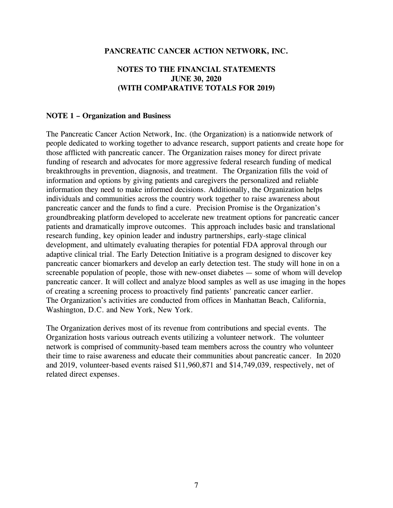# **NOTES TO THE FINANCIAL STATEMENTS JUNE 30, 2020 (WITH COMPARATIVE TOTALS FOR 2019)**

#### **NOTE 1 – Organization and Business**

The Pancreatic Cancer Action Network, Inc. (the Organization) is a nationwide network of people dedicated to working together to advance research, support patients and create hope for those afflicted with pancreatic cancer. The Organization raises money for direct private funding of research and advocates for more aggressive federal research funding of medical breakthroughs in prevention, diagnosis, and treatment. The Organization fills the void of information and options by giving patients and caregivers the personalized and reliable information they need to make informed decisions. Additionally, the Organization helps individuals and communities across the country work together to raise awareness about pancreatic cancer and the funds to find a cure. Precision Promise is the Organization's groundbreaking platform developed to accelerate new treatment options for pancreatic cancer patients and dramatically improve outcomes. This approach includes basic and translational research funding, key opinion leader and industry partnerships, early-stage clinical development, and ultimately evaluating therapies for potential FDA approval through our adaptive clinical trial. The Early Detection Initiative is a program designed to discover key pancreatic cancer biomarkers and develop an early detection test. The study will hone in on a screenable population of people, those with new-onset diabetes — some of whom will develop pancreatic cancer. It will collect and analyze blood samples as well as use imaging in the hopes of creating a screening process to proactively find patients' pancreatic cancer earlier. The Organization's activities are conducted from offices in Manhattan Beach, California, Washington, D.C. and New York, New York.

The Organization derives most of its revenue from contributions and special events. The Organization hosts various outreach events utilizing a volunteer network. The volunteer network is comprised of community-based team members across the country who volunteer their time to raise awareness and educate their communities about pancreatic cancer. In 2020 and 2019, volunteer-based events raised \$11,960,871 and \$14,749,039, respectively, net of related direct expenses.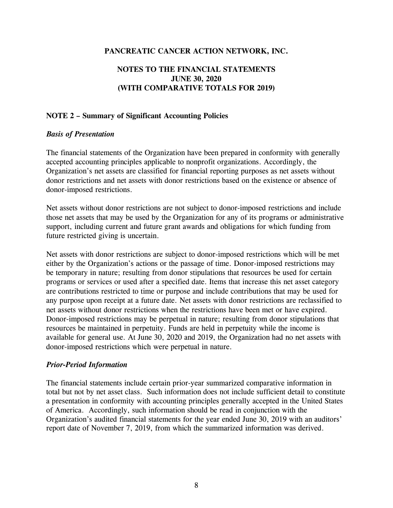# **NOTES TO THE FINANCIAL STATEMENTS JUNE 30, 2020 (WITH COMPARATIVE TOTALS FOR 2019)**

#### **NOTE 2 – Summary of Significant Accounting Policies**

#### *Basis of Presentation*

The financial statements of the Organization have been prepared in conformity with generally accepted accounting principles applicable to nonprofit organizations. Accordingly, the Organization's net assets are classified for financial reporting purposes as net assets without donor restrictions and net assets with donor restrictions based on the existence or absence of donor-imposed restrictions.

Net assets without donor restrictions are not subject to donor-imposed restrictions and include those net assets that may be used by the Organization for any of its programs or administrative support, including current and future grant awards and obligations for which funding from future restricted giving is uncertain.

Net assets with donor restrictions are subject to donor-imposed restrictions which will be met either by the Organization's actions or the passage of time. Donor-imposed restrictions may be temporary in nature; resulting from donor stipulations that resources be used for certain programs or services or used after a specified date. Items that increase this net asset category are contributions restricted to time or purpose and include contributions that may be used for any purpose upon receipt at a future date. Net assets with donor restrictions are reclassified to net assets without donor restrictions when the restrictions have been met or have expired. Donor-imposed restrictions may be perpetual in nature; resulting from donor stipulations that resources be maintained in perpetuity. Funds are held in perpetuity while the income is available for general use. At June 30, 2020 and 2019, the Organization had no net assets with donor-imposed restrictions which were perpetual in nature.

#### *Prior-Period Information*

The financial statements include certain prior-year summarized comparative information in total but not by net asset class. Such information does not include sufficient detail to constitute a presentation in conformity with accounting principles generally accepted in the United States of America. Accordingly, such information should be read in conjunction with the Organization's audited financial statements for the year ended June 30, 2019 with an auditors' report date of November 7, 2019, from which the summarized information was derived.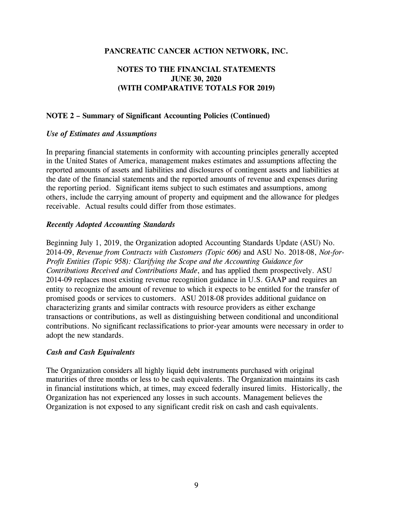# **NOTES TO THE FINANCIAL STATEMENTS JUNE 30, 2020 (WITH COMPARATIVE TOTALS FOR 2019)**

#### **NOTE 2 – Summary of Significant Accounting Policies (Continued)**

#### *Use of Estimates and Assumptions*

In preparing financial statements in conformity with accounting principles generally accepted in the United States of America, management makes estimates and assumptions affecting the reported amounts of assets and liabilities and disclosures of contingent assets and liabilities at the date of the financial statements and the reported amounts of revenue and expenses during the reporting period. Significant items subject to such estimates and assumptions, among others, include the carrying amount of property and equipment and the allowance for pledges receivable. Actual results could differ from those estimates.

#### *Recently Adopted Accounting Standards*

Beginning July 1, 2019, the Organization adopted Accounting Standards Update (ASU) No. 2014-09, *Revenue from Contracts with Customers (Topic 606)* and ASU No. 2018-08, *Not-for-Profit Entities (Topic 958): Clarifying the Scope and the Accounting Guidance for Contributions Received and Contributions Made*, and has applied them prospectively. ASU 2014-09 replaces most existing revenue recognition guidance in U.S. GAAP and requires an entity to recognize the amount of revenue to which it expects to be entitled for the transfer of promised goods or services to customers. ASU 2018-08 provides additional guidance on characterizing grants and similar contracts with resource providers as either exchange transactions or contributions, as well as distinguishing between conditional and unconditional contributions. No significant reclassifications to prior-year amounts were necessary in order to adopt the new standards.

#### *Cash and Cash Equivalents*

The Organization considers all highly liquid debt instruments purchased with original maturities of three months or less to be cash equivalents. The Organization maintains its cash in financial institutions which, at times, may exceed federally insured limits. Historically, the Organization has not experienced any losses in such accounts. Management believes the Organization is not exposed to any significant credit risk on cash and cash equivalents.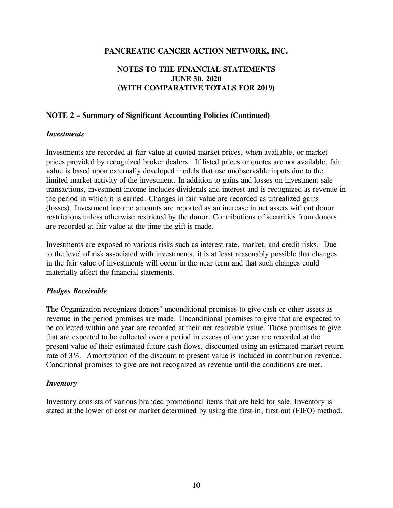# **NOTES TO THE FINANCIAL STATEMENTS JUNE 30, 2020 (WITH COMPARATIVE TOTALS FOR 2019)**

## **NOTE 2 – Summary of Significant Accounting Policies (Continued)**

#### *Investments*

Investments are recorded at fair value at quoted market prices, when available, or market prices provided by recognized broker dealers. If listed prices or quotes are not available, fair value is based upon externally developed models that use unobservable inputs due to the limited market activity of the investment. In addition to gains and losses on investment sale transactions, investment income includes dividends and interest and is recognized as revenue in the period in which it is earned. Changes in fair value are recorded as unrealized gains (losses). Investment income amounts are reported as an increase in net assets without donor restrictions unless otherwise restricted by the donor. Contributions of securities from donors are recorded at fair value at the time the gift is made.

Investments are exposed to various risks such as interest rate, market, and credit risks. Due to the level of risk associated with investments, it is at least reasonably possible that changes in the fair value of investments will occur in the near term and that such changes could materially affect the financial statements.

#### *Pledges Receivable*

The Organization recognizes donors' unconditional promises to give cash or other assets as revenue in the period promises are made. Unconditional promises to give that are expected to be collected within one year are recorded at their net realizable value. Those promises to give that are expected to be collected over a period in excess of one year are recorded at the present value of their estimated future cash flows, discounted using an estimated market return rate of 3%. Amortization of the discount to present value is included in contribution revenue. Conditional promises to give are not recognized as revenue until the conditions are met.

#### *Inventory*

Inventory consists of various branded promotional items that are held for sale. Inventory is stated at the lower of cost or market determined by using the first-in, first-out (FIFO) method.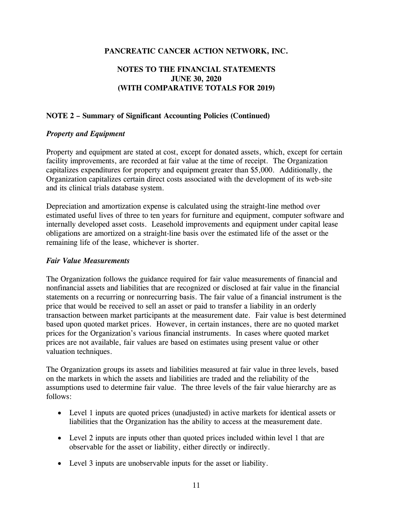# **NOTES TO THE FINANCIAL STATEMENTS JUNE 30, 2020 (WITH COMPARATIVE TOTALS FOR 2019)**

## **NOTE 2 – Summary of Significant Accounting Policies (Continued)**

#### *Property and Equipment*

Property and equipment are stated at cost, except for donated assets, which, except for certain facility improvements, are recorded at fair value at the time of receipt. The Organization capitalizes expenditures for property and equipment greater than \$5,000. Additionally, the Organization capitalizes certain direct costs associated with the development of its web-site and its clinical trials database system.

Depreciation and amortization expense is calculated using the straight-line method over estimated useful lives of three to ten years for furniture and equipment, computer software and internally developed asset costs. Leasehold improvements and equipment under capital lease obligations are amortized on a straight-line basis over the estimated life of the asset or the remaining life of the lease, whichever is shorter.

#### *Fair Value Measurements*

The Organization follows the guidance required for fair value measurements of financial and nonfinancial assets and liabilities that are recognized or disclosed at fair value in the financial statements on a recurring or nonrecurring basis. The fair value of a financial instrument is the price that would be received to sell an asset or paid to transfer a liability in an orderly transaction between market participants at the measurement date. Fair value is best determined based upon quoted market prices. However, in certain instances, there are no quoted market prices for the Organization's various financial instruments. In cases where quoted market prices are not available, fair values are based on estimates using present value or other valuation techniques.

The Organization groups its assets and liabilities measured at fair value in three levels, based on the markets in which the assets and liabilities are traded and the reliability of the assumptions used to determine fair value. The three levels of the fair value hierarchy are as follows:

- Level 1 inputs are quoted prices (unadjusted) in active markets for identical assets or liabilities that the Organization has the ability to access at the measurement date.
- Level 2 inputs are inputs other than quoted prices included within level 1 that are observable for the asset or liability, either directly or indirectly.
- Level 3 inputs are unobservable inputs for the asset or liability.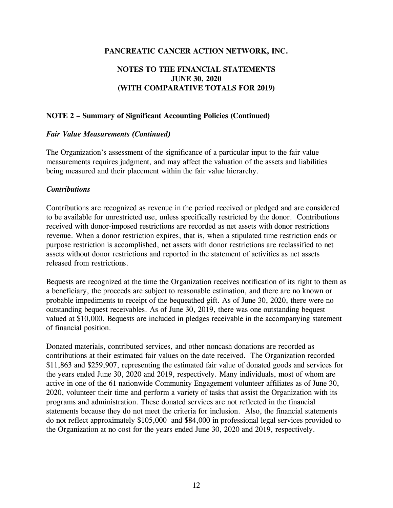# **NOTES TO THE FINANCIAL STATEMENTS JUNE 30, 2020 (WITH COMPARATIVE TOTALS FOR 2019)**

#### **NOTE 2 – Summary of Significant Accounting Policies (Continued)**

#### *Fair Value Measurements (Continued)*

The Organization's assessment of the significance of a particular input to the fair value measurements requires judgment, and may affect the valuation of the assets and liabilities being measured and their placement within the fair value hierarchy.

#### *Contributions*

Contributions are recognized as revenue in the period received or pledged and are considered to be available for unrestricted use, unless specifically restricted by the donor. Contributions received with donor-imposed restrictions are recorded as net assets with donor restrictions revenue. When a donor restriction expires, that is, when a stipulated time restriction ends or purpose restriction is accomplished, net assets with donor restrictions are reclassified to net assets without donor restrictions and reported in the statement of activities as net assets released from restrictions.

Bequests are recognized at the time the Organization receives notification of its right to them as a beneficiary, the proceeds are subject to reasonable estimation, and there are no known or probable impediments to receipt of the bequeathed gift. As of June 30, 2020, there were no outstanding bequest receivables. As of June 30, 2019, there was one outstanding bequest valued at \$10,000. Bequests are included in pledges receivable in the accompanying statement of financial position.

Donated materials, contributed services, and other noncash donations are recorded as contributions at their estimated fair values on the date received. The Organization recorded \$11,863 and \$259,907, representing the estimated fair value of donated goods and services for the years ended June 30, 2020 and 2019, respectively. Many individuals, most of whom are active in one of the 61 nationwide Community Engagement volunteer affiliates as of June 30, 2020, volunteer their time and perform a variety of tasks that assist the Organization with its programs and administration. These donated services are not reflected in the financial statements because they do not meet the criteria for inclusion. Also, the financial statements do not reflect approximately \$105,000 and \$84,000 in professional legal services provided to the Organization at no cost for the years ended June 30, 2020 and 2019, respectively.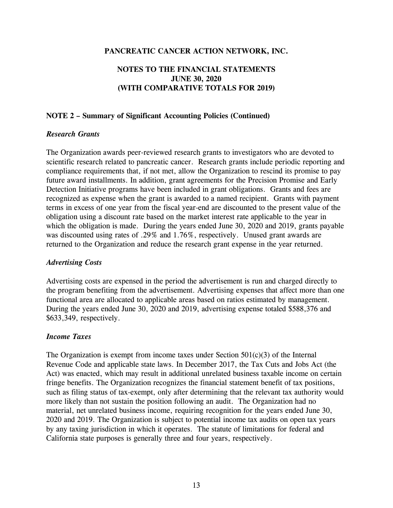# **NOTES TO THE FINANCIAL STATEMENTS JUNE 30, 2020 (WITH COMPARATIVE TOTALS FOR 2019)**

#### **NOTE 2 – Summary of Significant Accounting Policies (Continued)**

#### *Research Grants*

The Organization awards peer-reviewed research grants to investigators who are devoted to scientific research related to pancreatic cancer. Research grants include periodic reporting and compliance requirements that, if not met, allow the Organization to rescind its promise to pay future award installments. In addition, grant agreements for the Precision Promise and Early Detection Initiative programs have been included in grant obligations. Grants and fees are recognized as expense when the grant is awarded to a named recipient. Grants with payment terms in excess of one year from the fiscal year-end are discounted to the present value of the obligation using a discount rate based on the market interest rate applicable to the year in which the obligation is made. During the years ended June 30, 2020 and 2019, grants payable was discounted using rates of .29% and 1.76%, respectively. Unused grant awards are returned to the Organization and reduce the research grant expense in the year returned.

#### *Advertising Costs*

Advertising costs are expensed in the period the advertisement is run and charged directly to the program benefiting from the advertisement. Advertising expenses that affect more than one functional area are allocated to applicable areas based on ratios estimated by management. During the years ended June 30, 2020 and 2019, advertising expense totaled \$588,376 and \$633,349, respectively.

#### *Income Taxes*

The Organization is exempt from income taxes under Section  $501(c)(3)$  of the Internal Revenue Code and applicable state laws. In December 2017, the Tax Cuts and Jobs Act (the Act) was enacted, which may result in additional unrelated business taxable income on certain fringe benefits. The Organization recognizes the financial statement benefit of tax positions, such as filing status of tax-exempt, only after determining that the relevant tax authority would more likely than not sustain the position following an audit. The Organization had no material, net unrelated business income, requiring recognition for the years ended June 30, 2020 and 2019. The Organization is subject to potential income tax audits on open tax years by any taxing jurisdiction in which it operates. The statute of limitations for federal and California state purposes is generally three and four years, respectively.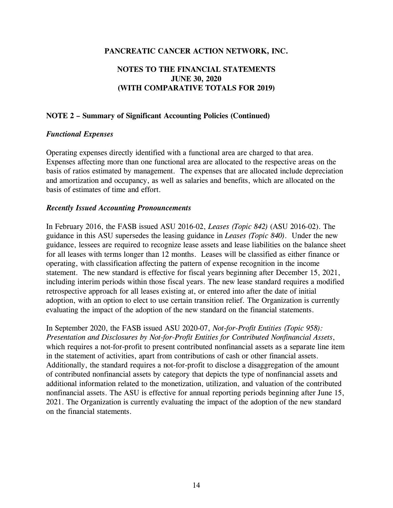# **NOTES TO THE FINANCIAL STATEMENTS JUNE 30, 2020 (WITH COMPARATIVE TOTALS FOR 2019)**

#### **NOTE 2 – Summary of Significant Accounting Policies (Continued)**

#### *Functional Expenses*

Operating expenses directly identified with a functional area are charged to that area. Expenses affecting more than one functional area are allocated to the respective areas on the basis of ratios estimated by management. The expenses that are allocated include depreciation and amortization and occupancy, as well as salaries and benefits, which are allocated on the basis of estimates of time and effort.

#### *Recently Issued Accounting Pronouncements*

In February 2016, the FASB issued ASU 2016-02, *Leases (Topic 842)* (ASU 2016-02). The guidance in this ASU supersedes the leasing guidance in *Leases (Topic 840)*. Under the new guidance, lessees are required to recognize lease assets and lease liabilities on the balance sheet for all leases with terms longer than 12 months. Leases will be classified as either finance or operating, with classification affecting the pattern of expense recognition in the income statement. The new standard is effective for fiscal years beginning after December 15, 2021, including interim periods within those fiscal years. The new lease standard requires a modified retrospective approach for all leases existing at, or entered into after the date of initial adoption, with an option to elect to use certain transition relief. The Organization is currently evaluating the impact of the adoption of the new standard on the financial statements.

In September 2020, the FASB issued ASU 2020-07, *Not-for-Profit Entities (Topic 958): Presentation and Disclosures by Not-for-Profit Entities for Contributed Nonfinancial Assets*, which requires a not-for-profit to present contributed nonfinancial assets as a separate line item in the statement of activities, apart from contributions of cash or other financial assets. Additionally, the standard requires a not-for-profit to disclose a disaggregation of the amount of contributed nonfinancial assets by category that depicts the type of nonfinancial assets and additional information related to the monetization, utilization, and valuation of the contributed nonfinancial assets. The ASU is effective for annual reporting periods beginning after June 15, 2021. The Organization is currently evaluating the impact of the adoption of the new standard on the financial statements.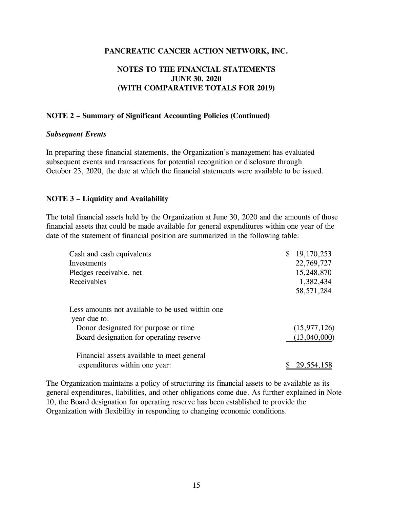# **NOTES TO THE FINANCIAL STATEMENTS JUNE 30, 2020 (WITH COMPARATIVE TOTALS FOR 2019)**

#### **NOTE 2 – Summary of Significant Accounting Policies (Continued)**

#### *Subsequent Events*

In preparing these financial statements, the Organization's management has evaluated subsequent events and transactions for potential recognition or disclosure through October 23, 2020, the date at which the financial statements were available to be issued.

#### **NOTE 3 – Liquidity and Availability**

The total financial assets held by the Organization at June 30, 2020 and the amounts of those financial assets that could be made available for general expenditures within one year of the date of the statement of financial position are summarized in the following table:

| Cash and cash equivalents                                        | 19,170,253<br>\$ |
|------------------------------------------------------------------|------------------|
| Investments                                                      | 22,769,727       |
| Pledges receivable, net                                          | 15,248,870       |
| Receivables                                                      | 1,382,434        |
|                                                                  | 58, 571, 284     |
| Less amounts not available to be used within one<br>year due to: |                  |
| Donor designated for purpose or time                             | (15, 977, 126)   |
| Board designation for operating reserve                          | (13,040,000)     |
| Financial assets available to meet general                       |                  |
| expenditures within one year:                                    | 29,554,158       |

The Organization maintains a policy of structuring its financial assets to be available as its general expenditures, liabilities, and other obligations come due. As further explained in Note 10, the Board designation for operating reserve has been established to provide the Organization with flexibility in responding to changing economic conditions.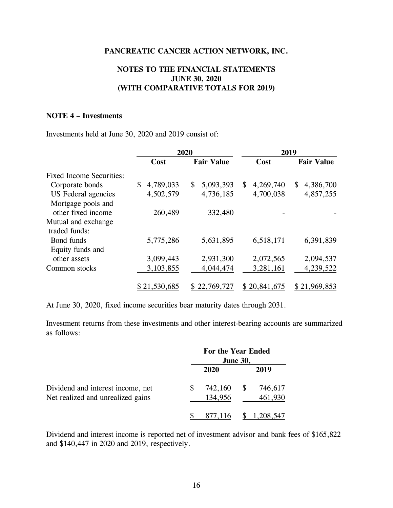## **NOTES TO THE FINANCIAL STATEMENTS JUNE 30, 2020 (WITH COMPARATIVE TOTALS FOR 2019)**

#### **NOTE 4 – Investments**

Investments held at June 30, 2020 and 2019 consist of:

|                                 |                 | 2020              | 2019            |                   |  |  |  |  |
|---------------------------------|-----------------|-------------------|-----------------|-------------------|--|--|--|--|
|                                 | Cost            | <b>Fair Value</b> | Cost            | <b>Fair Value</b> |  |  |  |  |
| <b>Fixed Income Securities:</b> |                 |                   |                 |                   |  |  |  |  |
| Corporate bonds                 | \$<br>4,789,033 | 5,093,393<br>\$   | 4,269,740<br>\$ | 4,386,700<br>\$   |  |  |  |  |
| US Federal agencies             | 4,502,579       | 4,736,185         | 4,700,038       | 4,857,255         |  |  |  |  |
| Mortgage pools and              |                 |                   |                 |                   |  |  |  |  |
| other fixed income              | 260,489         | 332,480           |                 |                   |  |  |  |  |
| Mutual and exchange             |                 |                   |                 |                   |  |  |  |  |
| traded funds:                   |                 |                   |                 |                   |  |  |  |  |
| Bond funds                      | 5,775,286       | 5,631,895         | 6,518,171       | 6,391,839         |  |  |  |  |
| Equity funds and                |                 |                   |                 |                   |  |  |  |  |
| other assets                    | 3,099,443       | 2,931,300         | 2,072,565       | 2,094,537         |  |  |  |  |
| Common stocks                   | 3,103,855       | 4,044,474         | 3,281,161       | 4,239,522         |  |  |  |  |
|                                 | \$21,530,685    | 22,769,727<br>S   | \$20,841,675    | \$21,969,853      |  |  |  |  |

At June 30, 2020, fixed income securities bear maturity dates through 2031.

Investment returns from these investments and other interest-bearing accounts are summarized as follows:

|                                                                        | For the Year Ended<br><b>June 30,</b> |                    |
|------------------------------------------------------------------------|---------------------------------------|--------------------|
|                                                                        | 2020                                  | 2019               |
| Dividend and interest income, net<br>Net realized and unrealized gains | 742,160<br>134,956                    | 746,617<br>461,930 |
|                                                                        | 877,116                               | 1,208,547          |

Dividend and interest income is reported net of investment advisor and bank fees of \$165,822 and \$140,447 in 2020 and 2019, respectively.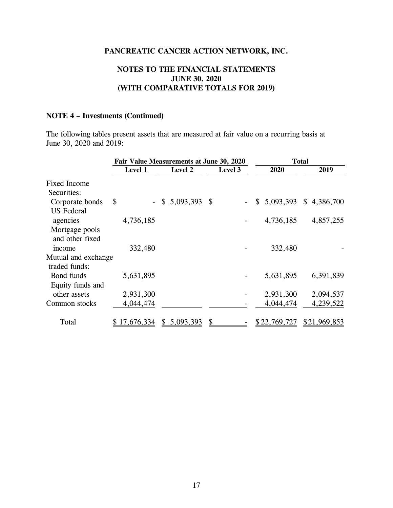# **NOTES TO THE FINANCIAL STATEMENTS JUNE 30, 2020 (WITH COMPARATIVE TOTALS FOR 2019)**

# **NOTE 4 – Investments (Continued)**

The following tables present assets that are measured at fair value on a recurring basis at June 30, 2020 and 2019:

|                     | Fair Value Measurements at June 30, 2020 |  | <b>Total</b>     |         |  |                           |  |              |
|---------------------|------------------------------------------|--|------------------|---------|--|---------------------------|--|--------------|
|                     | Level 1                                  |  | Level 2          | Level 3 |  | 2020                      |  | 2019         |
| <b>Fixed Income</b> |                                          |  |                  |         |  |                           |  |              |
| Securities:         |                                          |  |                  |         |  |                           |  |              |
| Corporate bonds     | \$                                       |  | $$5,093,393$ \\$ |         |  | $$5,093,393$ $$4,386,700$ |  |              |
| <b>US</b> Federal   |                                          |  |                  |         |  |                           |  |              |
| agencies            | 4,736,185                                |  |                  |         |  | 4,736,185                 |  | 4,857,255    |
| Mortgage pools      |                                          |  |                  |         |  |                           |  |              |
| and other fixed     |                                          |  |                  |         |  |                           |  |              |
| income              | 332,480                                  |  |                  |         |  | 332,480                   |  |              |
| Mutual and exchange |                                          |  |                  |         |  |                           |  |              |
| traded funds:       |                                          |  |                  |         |  |                           |  |              |
| Bond funds          | 5,631,895                                |  |                  |         |  | 5,631,895                 |  | 6,391,839    |
| Equity funds and    |                                          |  |                  |         |  |                           |  |              |
| other assets        | 2,931,300                                |  |                  |         |  | 2,931,300                 |  | 2,094,537    |
| Common stocks       | 4,044,474                                |  |                  |         |  | 4,044,474                 |  | 4,239,522    |
| Total               | \$17,676,334                             |  | \$5,093,393      |         |  | \$22,769,727              |  | \$21,969,853 |
|                     |                                          |  |                  |         |  |                           |  |              |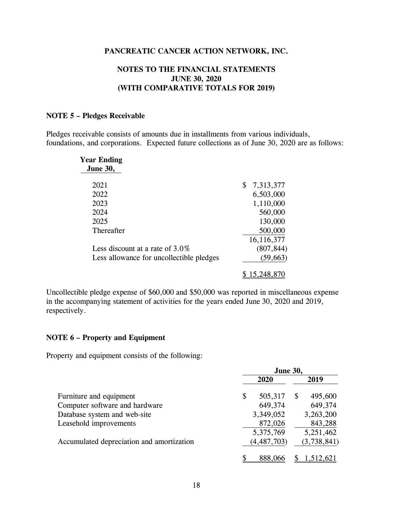# **NOTES TO THE FINANCIAL STATEMENTS JUNE 30, 2020 (WITH COMPARATIVE TOTALS FOR 2019)**

#### **NOTE 5 – Pledges Receivable**

Pledges receivable consists of amounts due in installments from various individuals, foundations, and corporations. Expected future collections as of June 30, 2020 are as follows:

| <b>Year Ending</b><br><b>June 30,</b>    |                 |
|------------------------------------------|-----------------|
| 2021                                     | \$<br>7,313,377 |
| 2022                                     | 6,503,000       |
| 2023                                     | 1,110,000       |
| 2024                                     | 560,000         |
| 2025                                     | 130,000         |
| Thereafter                               | 500,000         |
|                                          | 16,116,377      |
| Less discount at a rate of $3.0\%$       | (807, 844)      |
| Less allowance for uncollectible pledges | (59, 663)       |
|                                          | 15,248,870      |

Uncollectible pledge expense of \$60,000 and \$50,000 was reported in miscellaneous expense in the accompanying statement of activities for the years ended June 30, 2020 and 2019, respectively.

#### **NOTE 6 – Property and Equipment**

Property and equipment consists of the following:

|                                           | <b>June 30,</b> |               |   |             |  |
|-------------------------------------------|-----------------|---------------|---|-------------|--|
|                                           |                 | 2020          |   | 2019        |  |
| Furniture and equipment                   | \$              | 505,317       | S | 495,600     |  |
| Computer software and hardware            |                 | 649,374       |   | 649,374     |  |
| Database system and web-site              |                 | 3,349,052     |   | 3,263,200   |  |
| Leasehold improvements                    |                 | 872,026       |   | 843,288     |  |
|                                           |                 | 5,375,769     |   | 5,251,462   |  |
| Accumulated depreciation and amortization |                 | (4, 487, 703) |   | (3,738,841) |  |
|                                           |                 | 888,066       |   | ,512,621    |  |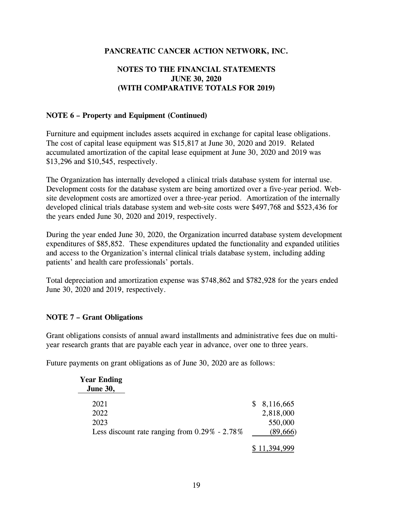# **NOTES TO THE FINANCIAL STATEMENTS JUNE 30, 2020 (WITH COMPARATIVE TOTALS FOR 2019)**

## **NOTE 6 – Property and Equipment (Continued)**

Furniture and equipment includes assets acquired in exchange for capital lease obligations. The cost of capital lease equipment was \$15,817 at June 30, 2020 and 2019. Related accumulated amortization of the capital lease equipment at June 30, 2020 and 2019 was \$13,296 and \$10,545, respectively.

The Organization has internally developed a clinical trials database system for internal use. Development costs for the database system are being amortized over a five-year period. Website development costs are amortized over a three-year period. Amortization of the internally developed clinical trials database system and web-site costs were \$497,768 and \$523,436 for the years ended June 30, 2020 and 2019, respectively.

During the year ended June 30, 2020, the Organization incurred database system development expenditures of \$85,852. These expenditures updated the functionality and expanded utilities and access to the Organization's internal clinical trials database system, including adding patients' and health care professionals' portals.

Total depreciation and amortization expense was \$748,862 and \$782,928 for the years ended June 30, 2020 and 2019, respectively.

# **NOTE 7 – Grant Obligations**

Grant obligations consists of annual award installments and administrative fees due on multiyear research grants that are payable each year in advance, over one to three years.

Future payments on grant obligations as of June 30, 2020 are as follows:

| <b>Year Ending</b> |                                                  |            |
|--------------------|--------------------------------------------------|------------|
| <b>June 30,</b>    |                                                  |            |
| 2021               |                                                  | 8,116,665  |
| 2022               |                                                  | 2,818,000  |
| 2023               |                                                  | 550,000    |
|                    | Less discount rate ranging from $0.29\%$ - 2.78% | (89,666)   |
|                    |                                                  | 11,394,999 |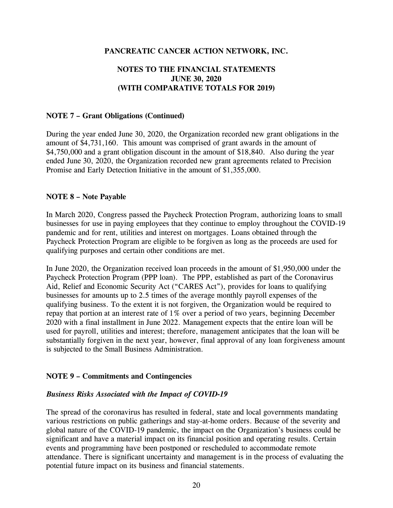# **NOTES TO THE FINANCIAL STATEMENTS JUNE 30, 2020 (WITH COMPARATIVE TOTALS FOR 2019)**

#### **NOTE 7 – Grant Obligations (Continued)**

During the year ended June 30, 2020, the Organization recorded new grant obligations in the amount of \$4,731,160. This amount was comprised of grant awards in the amount of \$4,750,000 and a grant obligation discount in the amount of \$18,840. Also during the year ended June 30, 2020, the Organization recorded new grant agreements related to Precision Promise and Early Detection Initiative in the amount of \$1,355,000.

#### **NOTE 8 – Note Payable**

In March 2020, Congress passed the Paycheck Protection Program, authorizing loans to small businesses for use in paying employees that they continue to employ throughout the COVID-19 pandemic and for rent, utilities and interest on mortgages. Loans obtained through the Paycheck Protection Program are eligible to be forgiven as long as the proceeds are used for qualifying purposes and certain other conditions are met.

In June 2020, the Organization received loan proceeds in the amount of \$1,950,000 under the Paycheck Protection Program (PPP loan). The PPP, established as part of the Coronavirus Aid, Relief and Economic Security Act ("CARES Act"), provides for loans to qualifying businesses for amounts up to 2.5 times of the average monthly payroll expenses of the qualifying business. To the extent it is not forgiven, the Organization would be required to repay that portion at an interest rate of 1% over a period of two years, beginning December 2020 with a final installment in June 2022. Management expects that the entire loan will be used for payroll, utilities and interest; therefore, management anticipates that the loan will be substantially forgiven in the next year, however, final approval of any loan forgiveness amount is subjected to the Small Business Administration.

#### **NOTE 9 – Commitments and Contingencies**

#### *Business Risks Associated with the Impact of COVID-19*

The spread of the coronavirus has resulted in federal, state and local governments mandating various restrictions on public gatherings and stay-at-home orders. Because of the severity and global nature of the COVID-19 pandemic, the impact on the Organization's business could be significant and have a material impact on its financial position and operating results. Certain events and programming have been postponed or rescheduled to accommodate remote attendance. There is significant uncertainty and management is in the process of evaluating the potential future impact on its business and financial statements.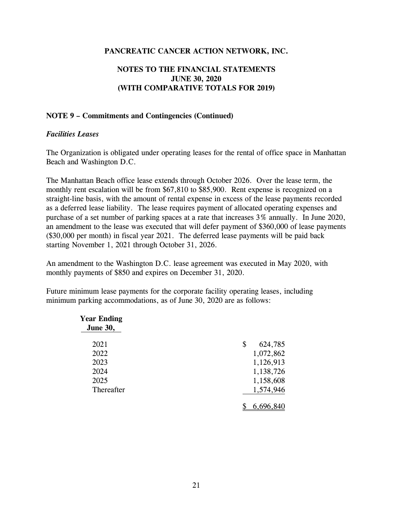# **NOTES TO THE FINANCIAL STATEMENTS JUNE 30, 2020 (WITH COMPARATIVE TOTALS FOR 2019)**

#### **NOTE 9 – Commitments and Contingencies (Continued)**

#### *Facilities Leases*

The Organization is obligated under operating leases for the rental of office space in Manhattan Beach and Washington D.C.

The Manhattan Beach office lease extends through October 2026. Over the lease term, the monthly rent escalation will be from \$67,810 to \$85,900. Rent expense is recognized on a straight-line basis, with the amount of rental expense in excess of the lease payments recorded as a deferred lease liability. The lease requires payment of allocated operating expenses and purchase of a set number of parking spaces at a rate that increases 3% annually. In June 2020, an amendment to the lease was executed that will defer payment of \$360,000 of lease payments (\$30,000 per month) in fiscal year 2021. The deferred lease payments will be paid back starting November 1, 2021 through October 31, 2026.

An amendment to the Washington D.C. lease agreement was executed in May 2020, with monthly payments of \$850 and expires on December 31, 2020.

Future minimum lease payments for the corporate facility operating leases, including minimum parking accommodations, as of June 30, 2020 are as follows:

| <b>Year Ending</b> |                   |
|--------------------|-------------------|
| <b>June 30,</b>    |                   |
| 2021               | \$<br>624,785     |
| 2022               | 1,072,862         |
| 2023               | 1,126,913         |
| 2024               | 1,138,726         |
| 2025               | 1,158,608         |
| Thereafter         | 1,574,946         |
|                    |                   |
|                    | <u>6,696,8</u> 40 |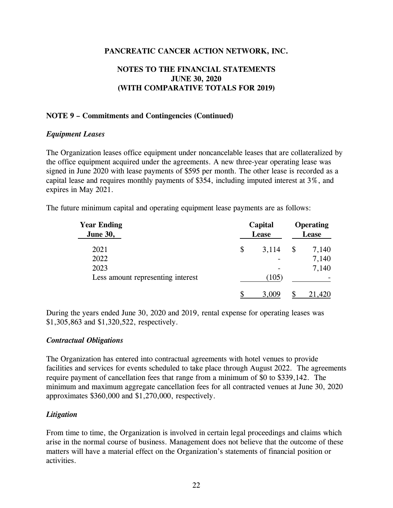# **NOTES TO THE FINANCIAL STATEMENTS JUNE 30, 2020 (WITH COMPARATIVE TOTALS FOR 2019)**

# **NOTE 9 – Commitments and Contingencies (Continued)**

# *Equipment Leases*

The Organization leases office equipment under noncancelable leases that are collateralized by the office equipment acquired under the agreements. A new three-year operating lease was signed in June 2020 with lease payments of \$595 per month. The other lease is recorded as a capital lease and requires monthly payments of \$354, including imputed interest at 3%, and expires in May 2021.

The future minimum capital and operating equipment lease payments are as follows:

| <b>Year Ending</b><br><b>June 30,</b> |    | Capital<br>Lease |    | <b>Operating</b><br>Lease |  |
|---------------------------------------|----|------------------|----|---------------------------|--|
| 2021                                  | \$ | 3,114            | \$ | 7,140                     |  |
| 2022                                  |    |                  |    | 7,140                     |  |
| 2023                                  |    |                  |    | 7,140                     |  |
| Less amount representing interest     |    | (105)            |    |                           |  |
|                                       | S  | 3,009            |    | 21,420                    |  |

During the years ended June 30, 2020 and 2019, rental expense for operating leases was \$1,305,863 and \$1,320,522, respectively.

# *Contractual Obligations*

The Organization has entered into contractual agreements with hotel venues to provide facilities and services for events scheduled to take place through August 2022. The agreements require payment of cancellation fees that range from a minimum of \$0 to \$339,142. The minimum and maximum aggregate cancellation fees for all contracted venues at June 30, 2020 approximates \$360,000 and \$1,270,000, respectively.

# *Litigation*

From time to time, the Organization is involved in certain legal proceedings and claims which arise in the normal course of business. Management does not believe that the outcome of these matters will have a material effect on the Organization's statements of financial position or activities.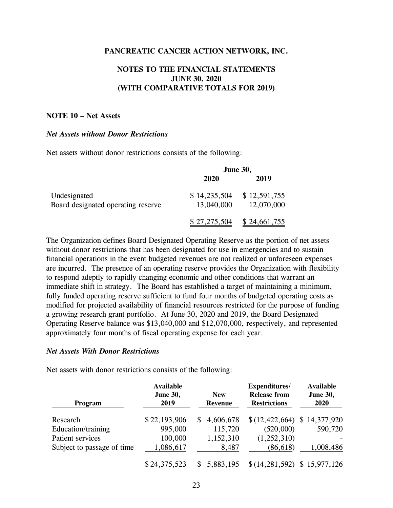# **NOTES TO THE FINANCIAL STATEMENTS JUNE 30, 2020 (WITH COMPARATIVE TOTALS FOR 2019)**

#### **NOTE 10 – Net Assets**

#### *Net Assets without Donor Restrictions*

Net assets without donor restrictions consists of the following:

|                                    | <b>June 30,</b> |              |  |
|------------------------------------|-----------------|--------------|--|
|                                    | 2020            | 2019         |  |
| Undesignated                       | \$14,235,504    | \$12,591,755 |  |
| Board designated operating reserve | 13,040,000      | 12,070,000   |  |
|                                    | \$27,275,504    | \$24,661,755 |  |

The Organization defines Board Designated Operating Reserve as the portion of net assets without donor restrictions that has been designated for use in emergencies and to sustain financial operations in the event budgeted revenues are not realized or unforeseen expenses are incurred. The presence of an operating reserve provides the Organization with flexibility to respond adeptly to rapidly changing economic and other conditions that warrant an immediate shift in strategy. The Board has established a target of maintaining a minimum, fully funded operating reserve sufficient to fund four months of budgeted operating costs as modified for projected availability of financial resources restricted for the purpose of funding a growing research grant portfolio. At June 30, 2020 and 2019, the Board Designated Operating Reserve balance was \$13,040,000 and \$12,070,000, respectively, and represented approximately four months of fiscal operating expense for each year.

#### *Net Assets With Donor Restrictions*

Net assets with donor restrictions consists of the following:

| <b>Program</b>             | <b>Available</b><br><b>June 30,</b><br>2019 | <b>New</b><br><b>Revenue</b> | Expenditures/<br><b>Release from</b><br><b>Restrictions</b> | <b>Available</b><br><b>June 30,</b><br>2020 |
|----------------------------|---------------------------------------------|------------------------------|-------------------------------------------------------------|---------------------------------------------|
| Research                   | \$22,193,906                                | 4,606,678<br>S.              | \$(12, 422, 664)                                            | \$14,377,920                                |
| Education/training         | 995,000                                     | 115,720                      | (520,000)                                                   | 590,720                                     |
| Patient services           | 100,000                                     | 1,152,310                    | (1,252,310)                                                 |                                             |
| Subject to passage of time | 1,086,617                                   | 8,487                        | (86, 618)                                                   | 1,008,486                                   |
|                            | \$24,375,523                                | 5,883,195                    | \$(14, 281, 592)                                            | 15,977,126                                  |